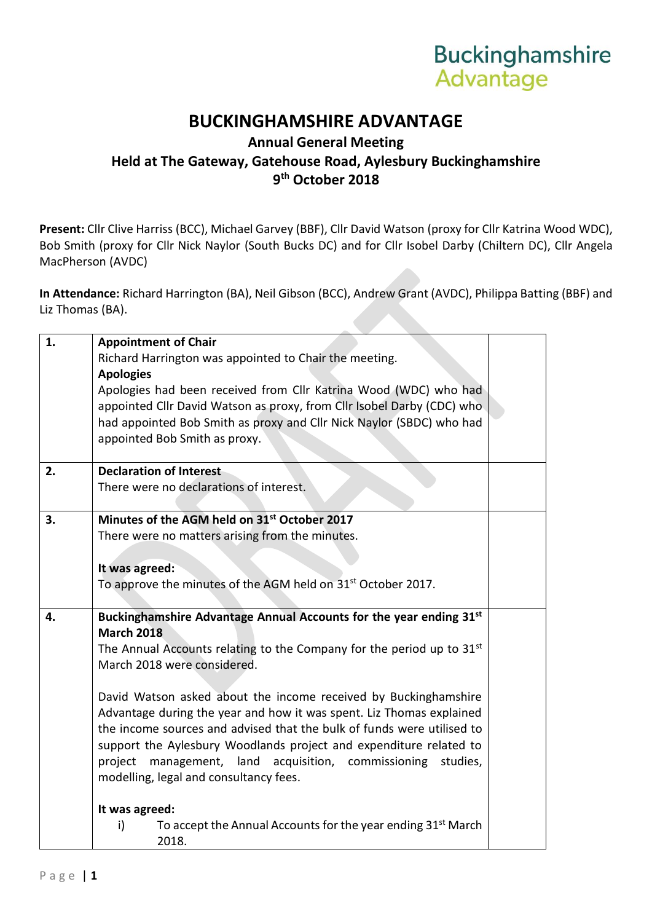## **Buckinghamshire Advantage**

## **BUCKINGHAMSHIRE ADVANTAGE**

## **Annual General Meeting Held at The Gateway, Gatehouse Road, Aylesbury Buckinghamshire 9 th October 2018**

**Present:** Cllr Clive Harriss (BCC), Michael Garvey (BBF), Cllr David Watson (proxy for Cllr Katrina Wood WDC), Bob Smith (proxy for Cllr Nick Naylor (South Bucks DC) and for Cllr Isobel Darby (Chiltern DC), Cllr Angela MacPherson (AVDC)

**In Attendance:** Richard Harrington (BA), Neil Gibson (BCC), Andrew Grant (AVDC), Philippa Batting (BBF) and Liz Thomas (BA).

| 1. | <b>Appointment of Chair</b><br>Richard Harrington was appointed to Chair the meeting.<br><b>Apologies</b><br>Apologies had been received from Cllr Katrina Wood (WDC) who had<br>appointed Cllr David Watson as proxy, from Cllr Isobel Darby (CDC) who<br>had appointed Bob Smith as proxy and Cllr Nick Naylor (SBDC) who had<br>appointed Bob Smith as proxy.                                                                                                                                                                                                                                                          |  |
|----|---------------------------------------------------------------------------------------------------------------------------------------------------------------------------------------------------------------------------------------------------------------------------------------------------------------------------------------------------------------------------------------------------------------------------------------------------------------------------------------------------------------------------------------------------------------------------------------------------------------------------|--|
| 2. | <b>Declaration of Interest</b><br>There were no declarations of interest.                                                                                                                                                                                                                                                                                                                                                                                                                                                                                                                                                 |  |
| 3. | Minutes of the AGM held on 31st October 2017<br>There were no matters arising from the minutes.<br>It was agreed:<br>To approve the minutes of the AGM held on 31 <sup>st</sup> October 2017.                                                                                                                                                                                                                                                                                                                                                                                                                             |  |
| 4. | Buckinghamshire Advantage Annual Accounts for the year ending 31st<br><b>March 2018</b><br>The Annual Accounts relating to the Company for the period up to 31 <sup>st</sup><br>March 2018 were considered.<br>David Watson asked about the income received by Buckinghamshire<br>Advantage during the year and how it was spent. Liz Thomas explained<br>the income sources and advised that the bulk of funds were utilised to<br>support the Aylesbury Woodlands project and expenditure related to<br>management, land<br>acquisition, commissioning<br>project<br>studies,<br>modelling, legal and consultancy fees. |  |
|    | It was agreed:<br>To accept the Annual Accounts for the year ending 31 <sup>st</sup> March<br>i)<br>2018.                                                                                                                                                                                                                                                                                                                                                                                                                                                                                                                 |  |